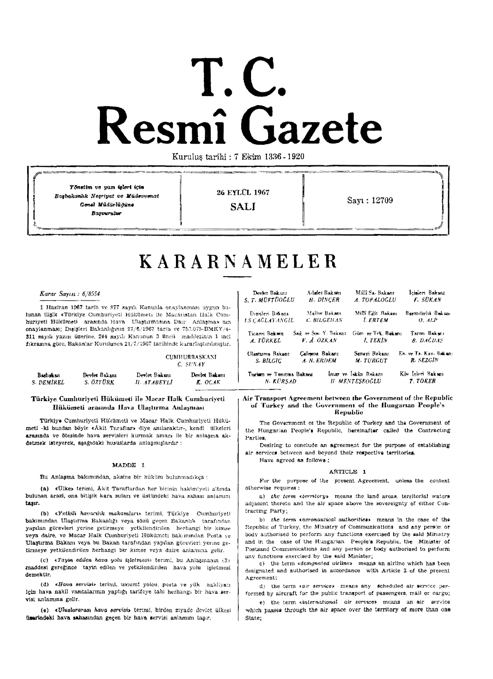# **L.C.**<br> **Resmî** G: **Gazete**

Kurulu\$ tarihi : 7 Ekim 1336 - 1920

.<br>2009 - An Thuaisia Ar Ann Inn an Leonard II

Yönstim ve yazı işleri için **26 EYLUL 1967**<br> *Bagbakanhk Negriyat ve Müdevvenat*<br> *Genel Müdürlüğüne*<br> **CAII** Sayı: 12709<br>
Saxu: 12709<br>
SALI Sayı: 12709 **Basouralue** 

# **KARARNAMELER**

# *Karar Saym* : 6/8554

1 Haziran 1967 tarih ve 877 sayılı Kanunla onaylanması uygun bulunan ilişik «Türkiye Cumhuriyeti Hükümeti ile Macaristan Halk Cumhuriyeti Hükümeti arasında Hava Ulaştırmasına Dair Anlaşma» mn onaylanması; Disisleri Bakanlığının 27/6/1967 tarih ve 757.075-BMKY/4-311 sayılı yazısı üzerine, 244 sayılı Kanunun 3 üncü maddesinin 1 inci fıkrasına göre, Bakanlar Kurulunca 21/7/1967 tarihinde kararlaştırılmıştır.

> CUMHURRASKANI C. *SUNAY*

| Bashakan   | Devlet Bakanz | Dovlet Bakanı | Dovlot Bakanı |
|------------|---------------|---------------|---------------|
| S. DEMIREL | S. ÖZTÜRK     | П. АТАВЕҮЦ    | . К.: ОСАК    |
|            |               |               |               |

# Türkiye Cumhuriyeti Hükümeti ile Macar Halk Cumhuriveti Hükümeti arasında IIava Ulaştırına Anlaşması

Türkiye Cumhuriyeti Hükümeti ve Macar Halk Cumhuriyeti Hükümet! -ki bundan böyle «Åkit Taraflar» diye amlacaktır-, kendi ülkelcri arasında ve ötesinde hava servisleri kurmak amacı ile bir anlaşma akdetmek isteyerek, aşağıdaki hususlarda anlaşmışlardır :

# MADDE 1

Bu Anlasma bakımından, aksine bir hüküm bulunmadıkca :

(a) «Ülke» terimi, Äkit Taraflardan her birinin hakimiyeti altında bulunan arazl, ona bitişik kara suları ve üstündeki hava sahası anlamını taşır.

(b) «Yetkili havacılık makamları» terimi, Türkiye Cumhuriyeti bakımından Ulaştırma Bakanlığı veya sözü geçen Bakanlık tarafından yapılan görevleri yerine getirmeye yetkilendirilen herhangi bir kimse veya dalre, ve Macar Halk Cumhuriyeti Hükümeti bakımından Posta ve Ulaştırma Bakam veya bu Bakan tarafından yapılan görevleri yerine getirmeye yetkilendirilen herhangi bir kimse vcya daire anlamına gelir.

(c)  $\langle Tayin \cdot edilen \cdot hava \cdot yolu \cdot isletmesis \cdot terimi, bu \cdot Anlasmann \cdot (3)$ maddest geregince tayin edilen ve yetkilendirilen hava yolu işletmesi demektlr.

(d) «Hava servisi» terimi, umum! yolcu, posta ve yük nakliyatı lçin hava nakil vasıtalarının yaptığı tarifeye tabi herhangı bir hava servisi anlamına gelir.

(e) «Uluslararası hava servisi» terimi, birden ziyade devlet ülkesi lixarindeki hava sahasından geçen bir hava servisi anlamını taşır.

| Devlet Bakanı             | Admet Bakanı         | Millî Sa-Bakanr      | Icialeri Bakanı        |
|---------------------------|----------------------|----------------------|------------------------|
| S.T. MUFTUOGLU            | <b>H. DINCER</b>     | A. TOPALOGLU         | <b>F. SUKAN</b>        |
| Disisteri Bakanı          | Maliw Bakans         | Milli Eğit Bakanı    | Baymdrik Bakan         |
| <b>LS.CAGLAYANGIL</b>     | C. BILGEHAN          | <b>LERTEM</b>        | $0.$ ALP               |
| Ticaret Bakam             | Sağ ve Sos Y. Bakanı | Gum ve Tek Bakanı    | Tarm Bakanı            |
| A TÜRKEL                  | V. A. ÖZKAN          | 1. TEKIN             | B. DAĞUAS              |
| Ulastuma Bakanı           | Calenna Bakaru       | Sanevi Bakanı        | En. ve Ta. Kav. Bakan: |
| S. BILGIC                 | A. N. ERDEM          | M. TURGUT            | R. SEZGIN              |
| Turism we Tanitina Bakana |                      | Imar ve İskân Bakanı | Köv Isleri Baksma      |
| N. KÜRSAD                 |                      | <b>H</b> MENTESEOGLU | T. TOKER               |

Air Transport Agreement between the Government of the Republic of Turkey and the Government of the Hungartan People's RepubUc

The Government of the Republic of Turkey and the Government of the Hungarian People's Republic, hereinafter called the Contracting Parties,

Desiring to conclude an agreement for the purpose of establishing services between and beyond their respective territories,

Have agreed as follows:

# ARTICLE 1

For the purpose of the present Agreement, unless the context otherwise rcquirea :

a) the term *sterritory* means the land areas, territorial waters adjacent thereto and the air space above the sovereignty of either Contracting Party;

b) the term «aeronautical authorities» means in the case of the Republic of Turkey, the Ministry of Communications and any person or body authorised to perform any functions exercised by the sald Mirustry and in the case of the Hungarian People's Republic. the Minister of Postsand Communications and any person or body authorised to perform any functions exercised by the said Minister;

c) the term *«designated airline»* means an airline which has been designated and authorised in accordance with Article 3 of the present Agreement:

d) the term *«air service»* means any scheduled air service performed by aircraft for the public transport of passengers, mail or cargo;

e) the term sinternational air service» means an air service which passes through the air space over the territory of more than one State;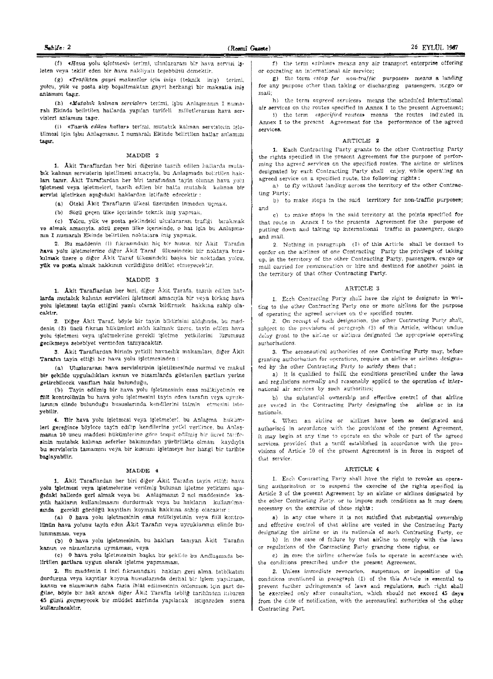(f) «Hava yolu isletmesi» terimi, uluslararası bir hava servisi isleten veya teklif eden bir hava nakliyatı teşebbüsü demektir.

(g) «Trafikten gayri maksatlar için iniş» (teknik inis) terimi, yoleu, yük ve posta alıp boşaltmaktan gayri herhangi bir maksatla inis anlamını tasır.

(h) «Mutabik kalman servisler» terimi, işbu Anlaşmanın I numarah Ekindo belirtilen hatlarda yapılan tarifeli milletlerarası hava servisleri anlamını tasır.

(i) «Tasrih edilen hatlar» teriml. mutabik kalinan servislerin isletilmesi için işbu Anlaşmanır. I numaralı Ekinde belirtilen hatlar anlamını ta§lr.

#### MADDE 2

1. Äkit Taraflardan her biri diğerine tasrih edilen hatlarda mutabik kalinan servislerin isletilmesi amacıyla, bu Anlasmada belirtilen hak-Ian tanır. Akit Taraflardan her biri tarafından tayin olunan hava yolu 1sletmesl veya jaletmeleri, tasrih edilen bir hatta mutabik Kalinan bir servlsl işletirken aşağıdaki haklardan istifade edecektir :

(a) Öteki Äkit Tarafların ülkesi üzevinden inmeden uçmak,

(b) Sözü geçen ülke içerisinde teknik iniş yapmak,

(c) Yolcu, yük ve posta seklindeki uluslararası trafiği bırakmak ve almak amacıyla, sözü geçen ülke içerisinde, o hat için bu Anlaşmanın I numaralı Ekinde belirtilen noktalara iniş yapmak,

2. Bu maddenin (1) fikrasındaki hiç bir husus, bir Akit Tarafın hava yolu isletmelerine diğer Akit Taraf Ulkesindeki bir noktava bırakılmak tizere o diğer Akit Taraf ülkesindeki başka bir noktadan yolcu, yük ve posta almak hakkmın verildiğine delâlet etmeyecektir.

#### M.ADDE 3

1. Aklt Taraflardan her biri, diğer Akit Tarafa, tasrih edilen hatlarda mutablk kalman servisleri isletmesi amacıyla bir veya birkac hava. yolu işletmeşi tayin ettiğini yazılı olarak bildirmek hakkına sahip olacaktlr.

2. Diğer Akit Taraf, böyle bir tayin bildirisini aldığında, bu maddenin (3) üncü fıkrası hükümleri sakh kalmak üzere, tayin edilen hava yolu işletmesi veya işletmelcrine gerekli işletme yetkilerini lüzumsuz gecikmeye sebebiyet vermeden tanıyacaktır.

3. Akit Taraflardan birinin yetkili havacılık makamları, diğer Äklt  $\operatorname{\mathbf{Tarafin}}$ tayin ettiği bir hava yolu işletmesinden :

(a) Uluslararası hava servislerinin işletilmesinde normal vc makul bir sekilde uyguladıkları kanun ve nizamlarda gösterilen sartları yerine getirebllecek vaslflan haiz bulundugu,

(b) Tayin edilmiş bir hava yolu işletmesinin esas mülkiyetinin ve fill! kontrolünün bu hava yolu işletmesini tayin eden tarafın veya uyruklarının clinde bulunduğu hususlarında kendllerini tatmin etmesini isteyeblilr.

4. Bir hava yolu işletmesi veya işletmeleri, bu Anlaşma hukümleri gereğince böylece tayin edilip kendilerine yetki verilince, bu Anlasmanın 10 uncu maddesi hükümlerine göre tespit edilmiş bir ücret tarifesinin mutabik kalinan seferler bakımından yürürlükte olması kaydıyla bu servislerin tamamını veya bir kısnum işletmeye her hangi bir tarihte baslayabilir.

#### MADDE 4

1. Akit Taraflardan her biri diğer Akit Tarafın tayin ettiği hava yolu isletmesi veya işletmelerine verilmiş bulunan işletme yetkisini aşagidaki hallerde geri almak veya bu Anlaşmanın 2 nei maddesinde kayitli hakların kullanılmasını durdurmak veya bu hakların kullanılmaamda gerekli gördüğü kayıtları koymak hakkma sahip olacaktır :

(a) 0 hava yolu işletmesinin esas mülkiyetinin veya fiill kontro-IUnUn hava yo!unu tay!n eden Aklt Taratm veya uyruklannm olinde bulunmamasl, veya

(bl 0 hava yolu i§letmesinin, bu haklan tamyan Akit 'l'arafm kanun ve nizamlarına uymaması, veya

(c) 0 hava yolu işletmesinin başka bir şekilde bu Andlasmada belirtilen şartlara uygun olarak işletme yapmaması,

2. Bu maddenin 1 inci fikrasındaki hakları geri alma, tatbikatını durdurma veya kayıtlar koyma hususlarında derhal bir işlem yapılması, kanun ve nizamların daha fazla ihlal edilmesintn önlenmesi için şart degilse, böyle bir hak ancak diger Akit Tarafla tebliğ tarihinden itibaren 45 günü geçmeyecek bir müddet zarfında yapılacak istişareden sonra kullamlacaktır,

**- 22!!ES**  f) the term «airline» means any air transport enterprise offering or operating an international air service;

g) the term «stop for non-traffic *purposes»* means a landing for any purpose other than taking or discharging passengers, targo or mail;

h) the term *sagreed* services» means the scheduled international air services on the routes specified in Annex I to the present Agreement;

i) the term *«specified routes»* means the routes indicated in Annex I to the present Agreement for the performance of the agreed services.

#### ARTICLE 2

1. Each Contracting Party grants to the other Contracting Party the rights specified in the present Agreement for the purpose of performing the agreed services on the specified rolltes. The airline or sirlines designated by each Contracting Party shall enjoy, while operating an agreed service on a specified route, the following rights:

a) to fly without landing across the territory of the other Contraeting Party;

 $b)$  to make stops in the said territory for non-traffic purposes; and

c) to make stops in the said territory at the points specified for that route m Annex I to the presents Agreement for the purpose of putting down and taking up international traffic in passengers, cargo and mail.

2. Nothing in paragraph (I) of this Article shall be deemed to confer on the airlines of one Contracting Party the privilege of taking up. in the territory of the other Contracting Party, passengers, cargo or mail carried for remuneration or hire and destined for another point in the territory of that other Contracting Party.

# ARTICLE 3

1. Each Contracting Party shall have the right to designate in writing to the other Contracting Party one or more airlines for the purpose of operating the agreed services on the specified routes.

2. On receipt of such designation, the other Contracting Party shall, subject to the provisions of paragraph (3) of this Article, without undue delay grant to the sirline or airlines designated the appropriate operating authorisations.

3. The aeronautical authorities of one Contracting Party may, before granting authorisation for operations, require an airline or airlines designated by the other Contracting Party to satisfy them that;

a) it is qualified to fulfil the conditions prescribed under the laws and regulations normally and reasonably applied to the operation of international air services by such authorities;

b) the substantial ownership and effective control of that airline are vested in the Contracting Party designating the airline or in its nationals.

4. When an airline or airlines have been so designated and authorised in accordance with the provisions of the present Agreement, it may begin at any time to operate on the whole or part of the agreed services, provided that a tariff established in accordance with the provisions of Article 10 of the present Agreement is in force in respect of that service.

#### ARTICLE 4

1. Each Contracting Party shall have the right to revoke an operating authorisation or to suspend the exercise of the rights specified in Article 2 of the present Agreement by an airline or airlines designated by the other Contraeting Party. or to impose such conditions as it may deem necessary on the exercise of these rights:

a} in any case where it is not satisfied that substantial ownership and effective control of that airline are vested in the Contracting Party designating the airline or in its nationals of such Contracting Party, or b) in the case of failure by that airline to comply with the laws

or regulations of the Contracting Party granting these rights, or

c) in case the airline otherwise fails to operate in accordance with the conditions prescribed under the present Agreement.

2. Uniess immediate revocation, suspension or imposition of the conditions mentioned in paragraph (1) of the this Article is essential to prevent further infringements of laws and regulations, such right shall be exercised only after consultation, which should not exceed 45 days from the date of notification, with the aeronautical authorities of the other Contracting Part.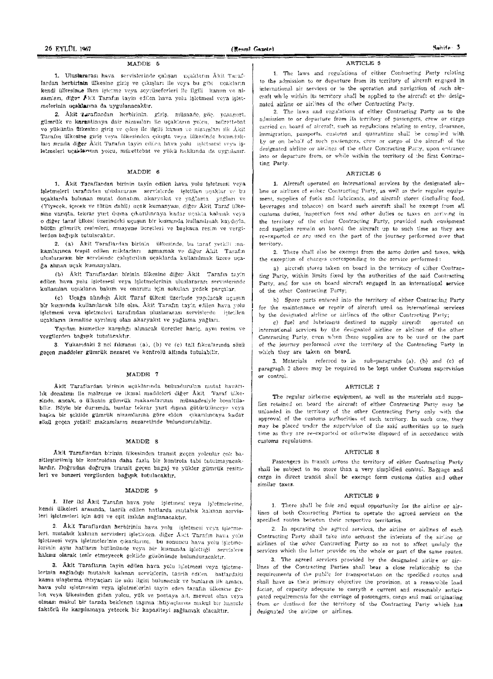#### MADDE 5

1. Uluslararası hava servislerinde çalışan uçakların Âkit Taraflardan herbirinin ülkesine giriş ve çıkışları ile veva bu gibi ucakların kendl ülkesince iken işletme veya seyrüseferleri ile ilgili kanım ve nizamları, diğev Äkit Tarafın tayin edilen hava volu isletmesi veya isletmelerinin uçaklarına da uygulanacaktır.

2. Âkit Taraflardan herbirinin, giriş, müsaade, göç, pasaport. gümrük ve karantinaya dair nizamları ile uçakların yolcu, mürettebat vo vükünün ülkesine giris ve etkis ile ilgili kanun ve nizamları ilk Akit Tarafın ülkesine giriş veya ülkesinden çıkışta veya ülkesinde bulundukları sırada diğer Akit Tarafın tayin edilen hava yolu isletmesi veva işletmeleri uçaklaman yolcu, mürettebat ve yükü hakkında da uygulanır.

## MADDE 6

1. Äkit Taraflardan birinin tayin edilen hava yolu işletmesi veya işletmeleri tarafından uluslararası servislerde istetilen uçaklar ve bu ucaklarda bulunan mutat donatim, akaryakit ye yağlama yağları ve (Yiyecek, içecek ve tütün dahil) uçak kumanyası, diğer Âkit Taraf ülkesine varışta, tekrar yurt dışına çıkarılmcaya kadar uçakta kalmak veya o diğer taraf ülkesi üzerindeki ucusun bir kısmında kullanılmak kaydıyla. bütün gümrük resimleri, muayene ücretleri ve başkaca resim ve vergilerden bağısık tutulacaktır.

2. (a) Akit Taraflardan birinin ülkesinde, bu taraf yetkili makamlarınca tespit edilen miktarları aşmamak ve diğer Akit Tarafın uluslararası bir servisinde çalıştırılan uçaklarda kullanılmak üzere uçağa alınan uçak kumanyaları,

(b) Âkit Taraflardan birinin ülkesine diğer Âkit Tarafın tayin edilen hava yolu işletmesi veya işletmelerinin uluslararası servislerinde kullanılan uçakların bakım ve onarımı için sokulan yedek parçalar,

(c) Uçağa alındığı Akit Taraf ülkesi üzerinde yapılacak uçuşun bir kısmında kullanılacak bile olsa, Âkit Tarafın tayin edilen hava yolu isletmesi veva işletmeleri tarafından uluşlararası servislerde işletilen uçakların ikmaline ayrılmış olan akaryakıt ve yağlama yağları,

Yapılan hizmetler karşılığı alınacak ücretler hariç, aynı resim ve vergilerden bağışık tutulacaktır.

3. Yukarıdaki 2 noi fıkranın (a), (b) ve (e) tali fıkralarında sözü geçen maddeler gümrük nezaret ve kontrolü altında tutulabilir.

## MADDE 7

Akit Taraflardan birinin neaklarında bulundurulan mutat hayacılik donatimi ile malzeme ve ikmal maddeleri diğer Akit Taraf ülkesinde, ancak, o ülkenin gümrük makamlarının müsaadesiyle boşaltılabilir. Böyle bir durumda, bunlar tekrar yurt dışına götürülünceye veya başka bir şekilde gümrük nizamlarına göre elden çıkarılıncaya kadar sözü geçen yetkill makamların nezaretinde bulundurulabilir.

#### MADDE 8

Äkit Taraflardan birinin ülkesinden transit geçen yolcular çok basitleştirilmiş bir kontroldan daha fazla bir kontrola tabi tutulmayacaklardır. Doğrudan doğruya transit geçen bagaj ve yükler gümrük resimleri ve benzeri vergüerden bağışık tutulacaktır.

#### MADDE 9

1. Her iki Akit Tarafın hava yolu işletmesi veya işletmelerine. kendi ülkeleri arasında, tasrih edilen hatlarda mutabık kalınan servisleri işletmeleri için âdil ve eşit imkân sağlanacaktır.

2. Äkit Taraflardan herbirinin hava yolu işletmesi veya işletmeleri, mutabik kalman servisleri işletirken, diğer Akit Tarafın hava yolu işletmesi veya işletmelerinin çıkarlarını, bu sonuncu hava yolu işletmelerinin aynı hatların bütününde veya bir kısmında işlettiği servislere haksız olarak tesir etmeyecek şekilde gözönünde bulunduracaktır.

3. Akit Tarafların tayin edilen hava yolu işletmesi veya işletmelerinin sağladığı mutamk kalınan servislerin, tasrih edilen hatlardaki kamu ulaştırma ihtiyaçları ile sıkı ilgisi bulunacak ve bunların ilk amacı. hava yolu işletmesini veya işletmelerini tayin eden tarafın ülkesine gelen veya ülkesinden giden yolcu, yük ve postaya ait, mevcut olan veya olması makul bir tarzda beklenen taşıma ihtiyaçlarını makul bir hamule faktörü ile karşılamaya yetecek bir kapasiteyi sağlamak olacaktır.

#### ARTICLE 5

1. The laws and regulations of either Contracting Party relating to the admission to or departure from its territory of aircraft engaged in international air services or to the operation and navigation of such aircraft while within its territory shall be applied to the aircraft of the designated airline or airlines of the other Contracting Party.

2. The laws and regulations of either Contracting Party as to the admission to or departure from its territory of passengers, crew or cargo carried on board of aircraft, such as regulations relating to entry, clearance, immigration, passports, customs and quarantine shall be complied with by or on behalf of such passengers, crew or cargo of the aircraft of the designated airline or airlines of the other Contracting Party, upon entrance into or departure from, or while within the territory of the first Contracting Party.

# ARTICLE 6

1. Aircraft operated on international services by the designated airline or airlines of either Contracting Party, as well as their regular equipment, supplies of fuels and lubricants, and aircraft stores (including food, beverages and tobacco) on board such aircraft shall be exempt from all customs duties, inspection fees and other duties or taxes on arriving in the territory of the other Contracting Party, provided such equipment and supplies remain on board the aircraft up to such time as they are re-exported or are used on the part of the journey performed over that territory.

2. There shall also be exempt from the same duties and taxes, with the exception of charges corresponding to the service performed:

a) aircraft stores taken on board in the territory of either Contracting Party, within limits fixed by the authorities of the said Contracting Party, and for use on board aircraft engaged in an international service of the other Contracting Party;

b) Spare parts entered into the territory of either Contracting Party for the maintenance or repair of aircraft used on international services by the designated airline or airlines of the other Contracting Party;

c) fuel and lubricents destined to supply aircraft operated on international services by the designated airline or sirlines of the other Contracting Party, even when these supplies are to be used on the part of the journey performed over the territory of the Contracting Party in which they are taken on board.

3. Materials referred to in sub-paragrahs (a), (b) and (c) of paragraph 2 above may be required to be kept under Customs supervision or control.

#### ARTICLE 7

The regular airborne equipment, as well as the materials and supplies retained on board the aircraft of either Contracting Party may be unloaded in the territory of the other Contracting Party only with the approval of the customs authorities of such territory. In such case, they may be placed under the supervision of the said authorities up to such time as they are re-exported or otherwise disposed of in accordance with customs regulations.

#### ARTICLE 8

Passengers in transit across the territory of either Contracting Party shall be subject to no more than a very simplified control. Baggage and cargo in direct transit shall be exempt form customs duties and other similar taxes.

#### ARTICLE 9

1. There shall be fair and equal opportunity for the airline or airlines of both Contracting Parties to operate the agreed services on the specified routes between their respective territories.

2. In operating the agreed services, the airline or airlines of each Contracting Party shall take into account the interests of the airline or airlines of the other Contracting Party so as not to affect unduly the services which the latter provide on the whole or part of the same routes.

3. The agreed services provided by the designated airline or airlines of the Contracting Parties shall bear a close relationship to the requirements of the public for transportation on the specified routes and shall have as their primary objective the provision, at a reasonable load factor, of capacity adequate to carryth e current and reasonably anticipated requirements for the carriage of passengers, cargo and mail originating from or destined for the territory of the Contracting Party which has designated the airline or airlines.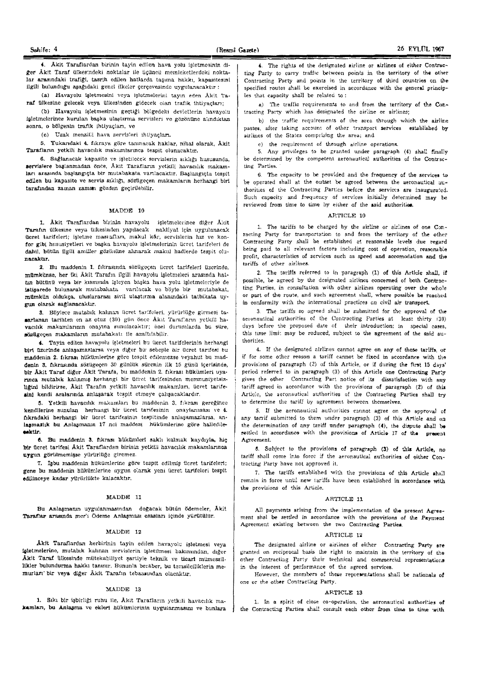4. Akit Taraflardan birinin tayin edilen hava yolu isletmesinin diğer Âkit Taraf ülkesindeki noktalar ile üçüncü memleketlerdeki noktalar arasındaki trafiği, tasrih edilen hatlarda taşıma hakkı, kapasitesini ilgili bulunduğu aşağıdaki genel ilkeler çerçevesinde uygulanacaktır :

(a) Havayolu işletmesini veya işletmelerini tayin eden Akit Taraf ülkesine gelecek veya ülkesinden gidecek olan trafik ihtiyaçları;

(b) Havayolu işletmesinin geçtiği bölgedeki devletlerin havayolu isletmclcrince kurulan başka ulaştırma servisleri ve gözönüne alındıktan sonra, o bölgenin trafik ihtiyaçları, ve

(c) Uzak menzilli hava servisleri ihtiyacları.

5. Yukandaki 4. fikraya göre tanınacak haklar, nihal olarak, Akit Tarafların yetkili havacılık makamlarınca tespit olunacaktır.

6. Sağlanacak kapasite ve işletilecek servislerin sıklığı hususunda, servislere baslanmadan önce, Akit Tarafların yetkili havacılık makamları arasında başlangıçta bir mutabakata varılacaktır. Başlangıçta tespit edilen bu kapasite ve servis sıklığı, sözügeçen makamların herhangi birl tarafından zaman zaman gözden geçirilebilir.

#### MADDE 10

1. Akit Taraflardan birinin havayolu işletmelerince diğer Akit Tarafın ülkesine veya ülkesinden yapılacak nakliyat için uygulanacak ücret tarifeleri; işletme masıafları, makul kâr, servislerin hız ve konfor gibi hususiyetleri ve başka havayolu işletmelerinin ücret tarifeleri de dahil, bütün ilgili amiller gözönüne alınarak makul hadlerde tespit olunacaktır.

2. Bu maddenin 1. fikrasında sözügeçen ücret tarifeleri üzerinde. mümkünse, her iki Âkit Tarafın ilgili havayolu işletmeleri arasında hattin bütünü veya bir kısmında isleyen başka hava yolu isletmeleriyle de istişarede bulunarak mutabakata varılacak ve böyle bir mutabakat, mümkün oldukça, uluslararası siyil ulaştırma alanındaki tatbikata uygun olarak sağlanacaktır.

3. Böylece mutabik kalınan ücret tarifcleri, yürürlüğe girmesi tasarlanan tarihten en az otuz (30) gün önce Akit Tarafların yetklil havacılık makamlarının onayına sunulacaktır; özel durumlarda bu süre, sözügeçen makamların mutabakatı ile azaltılabilir.

4. Tayin edilen havayolu işletmelcri bu ücrct tarifclerinin herhangi biri. üzerinde anlaşamazlarsa veya diğer bu sebeple bir ücret tarifesi bu maddenin 2. fikrası hükümlerine göre tespit edilemezse veyahut bu maddenin 3. fıkrasında sözügeçen 30 günlük sürenin ilk 15 günü içerisinde, bir Akit Taraf diğer Akit Tarafa, bu maddenin 2. fıkrası hükümleri uyarinca mutabik kalinmiş herhangi bir ücret tarifesinden memnuniyetsizliğini bildirirse, Akit Tarafın yetkili havacılık makamları, ücret tarifeainl kendi aralarında anlaşarak tespit etmeye çalışacaklardır.

5. Yetkill havacılık makamları bu maddenin 3. fıkrası gereğinec kendllerine sunulan herhangi bir ücret tarifesinin onaylanınası ve 4. fıkradaki herhangi bir ücret tarifesinin tespitinde anlaşamazlarsa, anlaşmazlık bu Anlaşmanın 17 nci maddesi hükümlerine göre halledile-esktir.

6. Bu maddenin 3. fikrası hükümleri saklı kalmak kaydıyla, hiç 'bir fleret tarifesi Akit Taraflardan birinin yetkili havacılık makamlarınca uygun görülmemişse yürürlüğe giremez.

7. Işbu maddenin hükümlerine göre tespit edilmiş ücret tarifeleri; gene bu maddenin hükümlerine uygun olarak yeni ücret tarifeleri tespit edilinceye kadar yürürlükte kalacaktır.

#### MADDE 11

Bu Anlaşmanın uygulanmasından doğacak bütün ödemeler, Akit Taraflar arasında mer'i Ödeme Anlaşması esasları içinde yürütülür.

#### }'I:ADDE 12

Akit Taraflardan herbirinin tayin edilen havayolu işletmesi veya fsletmelerine, mutabik kalinan servislerin işletilmesi bakımından, diğer Akit Taraf ülkesinde mütekabiliyet şartiyle teknik ve ticari mümessil. likler bulundurma hakkı tanınır. Bununla beraber, bu temsilciliklerin memurları' bir veya diğer Aklt Tarafın tebaasından olacaktır,

## MADDE 13

1. Sıkı bir işbirliği ruhu ile, Akit Tarafların yetkili havacılık makamları, bu Anlaşma ve ekleri hükümlerinin uygular.masını ve bunlara

4. The rights of the designated airline or airlines of either Contructing Party to carry traffic between points in the territory of the other Contracting Party and points in the territory of third countries on the specified routes shall be exercised in accordance with the general principles that capacity shall be related to:

a) The traffic requirements to and from the territory of the Contracting Party which has designated the airline or airlines;

b) the traffic requirements of the area through which the airline passes, after taking account of other transport services established by airlines of the States comprising the area; and

e) the requirement of through airline operations.

5. Any privileges to be granted under paragraph (4) shall finally be determined by the competent aeronautical authorities of the Contracting Parties.

6. The capacity to be provided and the frequency of the services to be operated shall at the outset be agreed between the aeronautical  $a$ uthorities of the Contracting Parties before the services are inaugurated. Such capacity and frequency of services initially determined may be reviewed from time to time by either of the said authorities.

# ARTICLE 10

1. The tariffs to be charged by the airline or airlines of one  $Con$ tacting Party for transportation to and from the territory of the other Contracting Party shall be established at reasonable levels due regard being paid to all relevant factors including cost of operation, reasonable profit, characteristics of services such as speed and aecomodation and the tariffs of other airlines.

2. The tariffs referred to in paragraph (1) of this Article shall, if possible, be agreed by the designated airlines concerned of both Contracting Parties, in consultation with other airlines operating over the whole or part of the route, and such agreement shall, where possible be reached in conformity with the international practices on civil air transport.

3. The tariffs so agreed shall be submitted for the approval of the aeronautical authorities of the Contracting Parties at least thirty (30) days before the proposed date of their introduction; in special cases, this time limi: may be reduced, subject to the agreement of the said authorities.

4. If the designated airlines cannot agree on any of these tariffs, or if for some other reason a tariff cannot be fixed In accordance with the provisions of paragraph (2) of this Article, or if during the first 15 days' period referred to in paragraph (3) of this Article one Contracting Party. gives the other Contracting Part notice of its dissatisfaction with any tariff agreed in accordance wilh thc provisions of paragraph (2) of this Article, the aeronautical authorities of the Contracting Parties shall try to determine the tariff by agreement between themselves.

5. If the aeronautical authorities eannot agree on the approval of any tarrif submitted to them under paragraph (3) of this Article and un the determination of any tariff under paragraph  $(4)$ , the dispute shall be settled in accordance with the provisions of Article 17 of the present Agreement.

~. Subiect to the provisions 01 paragraph (3) of this Article, no tariff shall come into force if the aeronautical authorities of either Contracting Party have not approved it.

7. The tariffs established with the provisions of this Article shall remain in force until new tariffs have been established in accordance with the provisions of this Article.

## ARTICLE 11

All payments arising from the implementation of the present Agreement shal be settled in accordance with the provisions of the Payment Agreement existing between the two Contracting Parties.

# ARTICLE 12

The designated airline or airlines of either Contracting Party ere granted on reciprocal basis the right to maintain in the territory of the other Contracting Party their technical and commercial representations in the interest of performance of the agreed services.

However, the members of these representations shall be nationals of one or the other Contracting Party.

# ARTICLE 13

1. In a spirit of close co-operation, the aeronautical authorities of the Contracting Parties shall consult each other from time to time with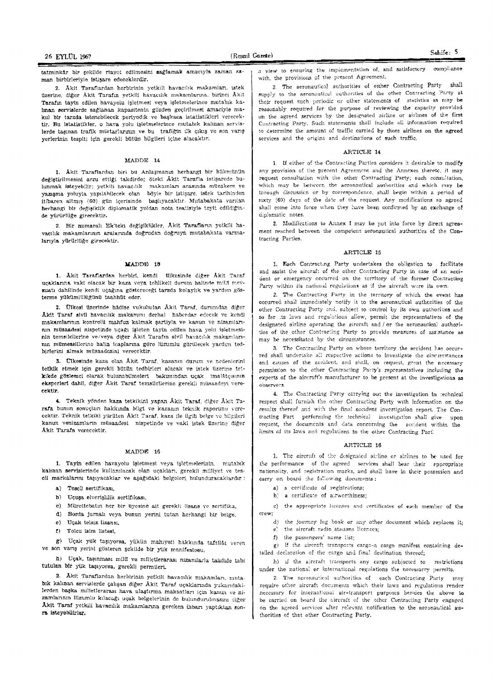2. Äkit Taraflardan herbirinin yetkili havacılık makamları, istek üzerine, diğer Äkit Tarafın yetkili havacılık makamlarına, birinci Äkit Tarafın tayin edilen havayolu işletmesi veya işletmelerince mutabık ka-'inan servislerde sağlanan kapasitenin gözden geçirilmesi amaciyle makul bir tarzda istenebilecek periyodik ve başkaca istatistikleri verecektir. Bu istatistikler, o haya yolu işletmelerince mutabık kalınan servislerde taşınan trafik miktarlarının ve bu trafiğin ilk çıkış ve son yarış yerlerinin tespiti için gerekli bütün bügileri içine alacaktır.

#### MADDE 14

1. Äkit Taraflardan biri bu Anlaşmanın herhangi bir hükmünün değiştirilmesini arzu ettiği takdirde; öteki Akit Tarafla istişarede bulunmak isteyebilir; yetkili havacılık makamları arasında müzakere ve yazışma yoluyla yapılabilecek olan böyle bir istişare, istek tarihinden itibaren altmış (60) gün içerisinde başlıyacaktır. Mutabakata varılan herhangi bir değişiklik diplomatik yoldan nota teatisiyle teyit edildiğinde yürürlüğe girecektir.

2. Bir numaralı Ek'teki değişiklikler, Akit Tarafların yetkili havacılık makamlarının aralarında doğrudan doğruya mutabakata varmalarıyla yürürlüğe girecektir.

#### **MADDE 18**

1. Äkit Taraflardan herbiri, kendi ülkesinde diğer Äkit Taraf uçaklarına vaki olacak bir kaza veya tehlikeli durum halinde milit mevzuatı dahilinde kendi uçağına göstereceği tarzda kolaylık ve yardım gösterme yükümlülüğünü taahhüt eder.

2. Ülkesi üzerinde hädise vukubulan Âkit Taraf, durumdan diğer Äkit Taraf sivil havacılık makamını derhal haberdar edecek ve kendi makamlarının kontrolü mahfuz kalmak şartiyla ve kanun ve nizamlarınin müsaadesi nispetinde ucağı isleten tavin edilen hava yolu isletmesinin temsilcilerine ve/veya diğer Âkit Tarafın sivil havacılık makamlarının mümessillerine halin teaplarına göre lüzumlu görülecek yardım tedbirlerini almak müsaadesini verecektir.

3. Ülkesinde kaza olan Äkit Taraf, kazanın durum ve nedenlerini tetkik etmek için gerekli bütün tedbirleri alacak ve istek üzerine tetkikde gözlemci olarak bulunabilmeleri bakımından uçak imalâtçısının eksperleri dahil, diğer Åkit Taraf temsilcilerine gerekli müsaadeyi verecektir.

4. Teknik yönden kaza tetkikini yapan Âkit Taraf, diğer Akit Tarafa bunun sonucları hakkında bilgi ve kazanın teknik raporunu yerecektir. Teknik tetkiki yürüten Âkit Taraf, kaza ile ilgili belge ve bilgileri kanun venizamların müsaadesi nispetinde ve vaki istek üzerine diğer Akit Tarafa verecektir.

# MADDE 16

1. Tayin edilen havayolu işletmesi veya işletmelerinin, mutabık kalınan servislerinde kullanılacak olan uçakları, gerekli milliyet ve tescil markalarını taşıyacaklar ve aşağıdaki belgeleri bulunduracaklardır:

- a) Tescil sertifikası.
- b) Uçuşa elverişlilik sertifikası,
- c) Mürettebatın her bir üyesine ait gerekli Ilsans ve sertifika,
- d) Borda jurnalı veya bunun yerini tutan herhangi bir belge,
- e) Uçak telsiz lisansı.
- f) Yolcu isim listesi.

g) Uçak yük taşıyorsa, yükün mahiyeti hakkında tafsilât veren ve son varış yerini gösteren şekilde bir yük manifestosu,

h) Uçak, taşınması mült ve milletlerarası nizamlarla tahdide tabi tutulan bir yük taşıyorsa, gerekli permileri.

2. Akit Taraflardan herbirinin yetkili havacılık makamları, mutabik kalınan servislerde çalışan diğer Âkit Taraf uçaklarında yukarıdakilerden başka milletlerarası hava ulaştırma maksatları için kanun ve nizamlarının lüzumlu kılacağı uçak belgelerinin de bulundurulmasını diğer Åkit Taraf yetkili havacılık makamlarına gereken inbarı yaptıktan sonra isteyebilirler.

a view to ensuring the implementation of, and satisfactory compliance with, the provisions of the present Agreement.

2. The aeronautical authorities of either Contracting Party shall supply to the aeronautical authorities of the other Contracting Party at their request such periodic or other statements of statistics as may be reasonably required for the purpose of reviewing the capacity provided on the agreed services by the designated airline or airlines of the first Contracting Party, Such statements shall include all information required to determine the amount of traffic carried by those airlines on the agreed services and the origins and destinations of such traffic.

# ARTICLE 14

1. If either of the Contracting Parties considers it desirable to modify any provision of the present Agreement and the Annexes thereto, it may request consultation with the other Contracting Party; such consultation, which may be between the acronautical authorities and which may be through discussion or by correspondence, shall begin within a period of sixty (60) days of the date of the request. Any modifications so agreed shall come into force when they have been confirmed by an exchange of diplomatic notes.

2. Modifications to Annex I may be put into force by direct agreement reached between the competent aeronautical authorities of the Contracting Parties.

# ARTICLE 15

1. Each Contracting Party undertakes the obligation to facilitate and assist the aircraft of the other Contracting Party in case of an accident or emergency occurred on the territory of the former Contracting Party within its national regulations as if the aircraft were its own.

2. The Contracting Party in the territory of which the event has occurred shall immediately notify it to the aeronautical authorities of the other Contracting Party and, subject to control by its own authorities and so far its laws and regulations allow, permit the representatives of the designated airline operating the aircraft and / or the aeronautical authorities of the other Contracting Party to provide measures of assistance as may be necessitated by the circumstances.

3. The Contracting Party on whose territory the accident has occurred shall undertake all respective actions to investigate the circumstances and causes of the accident, and shall, on request, grant the necessary permission to the other Contracting Party's representatives including the experts of the aircraft's manufacturer to be present at the investigations as observers

4. The Contracting Party carrying out the investigation in technical respect shall furnish the other Contracting Party with information on the results thereof and with the final accident investigation report. The Contracting Part performing the technical investigation shall give upon request, the documents and data concerning the accident within the limits of its laws and regulations to the other Contracting Part.

# ARTICLE 16

1. The aircraft of the designated airline or airlines to be used for the performance of the agreed services shall bear their appropriate nationality, and registration marks, and shall have in their possession and carry on board the following documents:

- a) a certificate of registrations;
- b) a certificate of airworthiness;

c) the appropriate licenses and certificates of each member of the crew:

d) the journey log book or any other document which replaces it:

e) the aircraft radio stations licences; f) the passengers' name list;

g) if the aircraft transports cargo-a cargo manifest containing detailed declaration of the cargo and final destination thereof;

h) if the aircraft transports any cargo subjected to restrictions under the national or international regulations the necessarry permits.

2. The aeronautical authorities of each Contracting Party may require other aircraft documents which their laws and regulations render necessary for international air-transport purposes besides the above to be carried on board the aircraft of the other Contracting Party engaged on the agreed services after relevant notification to the aeronautical authorities of that other Contracting Party,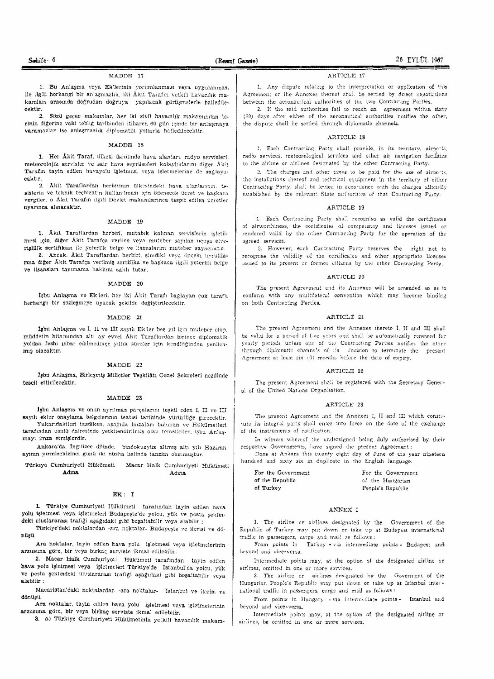#### MADDE 17

1. Bu Anlaşma veya Ek'lerinin yorumlanması veya uygulanması ile ilgili herhangi bir anlaşmazlık, iki Âkit Tarafın yetkili havaçılık makamları arasında doğrudan doğruya yapılacak görüşmelerle halledilecektir.

2. Sözü geçen makamlar, her iki sivil havacılık makamından birinin diğerine vaki tebliğ tarihinden itibaren 60 gün içinde bir anlaşmaya varamazlar ise anlaşmazlık diplomatik yollarla halledilecektir.

# MADDE 18

1. Her Åkit Taraf, ülkesi dahilinde hava alanları, radyo servisleri. meteorolojik servisler ve sair hava seyrüseferi kolaylıklarını diğer Akit Tarafın tayin edilen havayolu işletmesi veya işletmelerine de sağlayacaktır.

2. Äkit Taraflardan herbirinin ülkesindeki hava alanlarının, tesislerin ve teknik teçhizatın kullanılması için ödenecek ücret ve başkaca vergiler, o Åkit Tarafın ilgili Devlet makamlarınca tespit edilen ücretler nvarinca alinacaktir.

# MADDE 19

1. Äkit Taraflardan herbiri, mutabik kalınan servislerin işletilmesi için, diğer Akit Tarafça verilen veya muteber sayılan uçuşa elverislillk sertifikası ile yeterlik belge ve lisanslarını muteber sayacaktır.

2. Ancak, Akit Taraflardan herbiri, şimdiki veya önceki uyruklarına diğer Âkit Tarafça verilmiş sertifika ve başkaca ilgili yeterlik belge ve lisansları tanımama hakkını saklı tutar,

# MADDE 20

İsbu Anlaşma ve Ek'leri, her iki Âkit Tarafı bağlayan çok taraflı herhangi bir sözleşmeye uyacak şekilde değiştirilecektir.

# MADDE 21

İsbu Anlaşma ve I, II ve III sayılı Ek'ler beş yıl için muteber olup. müddetin hitamından altı ay evvel Akit Taraflardan birince diplomatik yoldan feshi ihbar edilmedikçe yıllık süreler için kendliğinden yenilenmis olacaktır.

# MADDE 22

İşbu Anlaşma, Birleşmiş Milletler Teşkilâtı Genel Sekreteri nezdinde tescil ettirilecektir.

## MADDE 23

İşbu Anlaşma ve onun ayrılmaz parçalarını teşkil eden I, II ve III sayılı ekler onaylama belgelerinin teatisi tarihinde yürürlüğe girecektir. Yukarıdakileri tasdiken, asağıda imzaları bulunan ve Hükümetleri

tarafından usulü dairesinde yetkilendirilmiş olan temsilciler, işbu Anlaşmayı imza etmişlerdir.

Ankara'da, İngilizce dilinde, bindokuzyliz altmış altı yılı Haziran ayının yırmisekizinci günü iki nüsha halinde tanzim olunmuştur.

#### Türkiye Cumhuriyeti Hükümeti Macar Halk Cumhuriyeti Hükümeti Adma Adına

# EK: T

1. Türkiye Cumhuriyeti Hükümeti tarafından tayin edilen hava yolu işletmesi veya işletmeleri Budapeşte'de yolcu, yük ve posta şeklindeki uluslararası trafiği aşağıdaki gibi boşaltabilir veya alabilir:

Türkiye'deki noktalardan -ara noktalar- Budapeşte ve ilerisi ve dönüsü.

Ara noktalar, tayin edilen hava yolu işletmesi veya işletmelerinin arzusuna göre, bir veya birkaç serviste ikmal edilebilir.

2. Macar Halk Cumhuriyeti Hükümcti tarafından tayin edilen hava yolu işletmesi veya işletmeleri Türkiye'de Istanbul'da yolcu, yük ve posta şeklindeki uluslararası trafiği aşağıdaki gibi boşaltabilir veya alabilir:

Macaristan'daki noktalardan -ara noktalar- Istanbul ve ilerisi ve dönüşü.

Ara noktalar, tayin edilen hava yolu işletmesi veya işletmelerinin arzusuna göre, bir veya birkaç serviste ikmal edilebilir.

3. a) Türkiye Cumhuriyeti Hükümetinin yetkili havacılık makam-

#### ARTICLE 17

1. Any dispute relating to the interpretation or application of this Agreement or the Annexes thereof shall be settled by direct negotiations between the aeronautical authorities of the two Contracting Parties.

2. If the said authorities fail to reach an agreement within sixty (60) days after either of the aeronautical authorities notifies the other, the dispute shall be settled through diplomatic channels.

#### ARTICLE 18

1. Each Contracting Party shall provide, in its territory, airports, radio services, meteorological services and other air navigation facilities to the airline or airlines designated by the other Contracting Party.

2. The charges and other taxes to be paid for the use of airports. the installations thereof and technical equipment in the territory of either Contracting Party, shall be levied in accordance with the charges officially established by the relevant State authorities of that Contracting Party.

#### ARTICLE 19

1. Each Contracting Party shall recognise as valid the certificates of airworthiness, the certificates of competency and licenses issued or rendered valid by the other Contracting Party for the operation of the agreed services.

2. However, each Contracting Party reserves the right not to recognise the validity of the certificates and other appropriate licenses issued to its present or former citizens by the other Contracting Party.

# ARTICLE 20

The present Agreement and its Annexes will be amended so as to conform with any multilateral convention which may become binding on both Contracting Parties.

# ARTICLE 21

The present Agreement and the Annexes thereto I, II and III shall be valid for a period of five years and shall be automatically renewed for yearly periods unless one of the Contracting Parties notifies the other through diplomatic channels of its decision to terminate the present Agreement at least six (6) months before the date of expiry.

# ARTICLE 22

The present Agreement shall be registered with the Secretary General of the United Nations Organisation,

#### ARTICLE 23

The present Agreement and the Annexes I, II and III which constitute its integral parts shall enter into force on the date of the exchange of the instruments of ratification.

In witness whereof the undersigned being duly authorised by their respective Governments, have signed the present Agreement:

Done at Ankara this twenty eight day of June of the year nineteen hundred and sixty six in duplicate in the English language.

| For the Government | For the Government |
|--------------------|--------------------|
| of the Republic    | of the Hungarian   |
| of Turkey          | People's Republic  |

# ANNEX I

1. The airline or airlines designated by the Government of the Republic of Turkey may put down or take up at Budapest international traffic in passengers, cargo and mail as follows:

From points in Turkey - via intermediate points - Budapes; and beyond and vice-versa.

Intermediate points may, at the option of the designated airline or airlines, omitted in one or more services.

2. The airline er airlines designated by the Goverment of the Hungarian People's Republic may put down or take up at Istanbul international traffic in passengers, cargo and mail as follows:

From points in Hungary - via intermediate points - Istanbul and beyond and vice-versa.

Intermediate points may, at the option of the designated airline or ainlines, be omitted in one or more services.